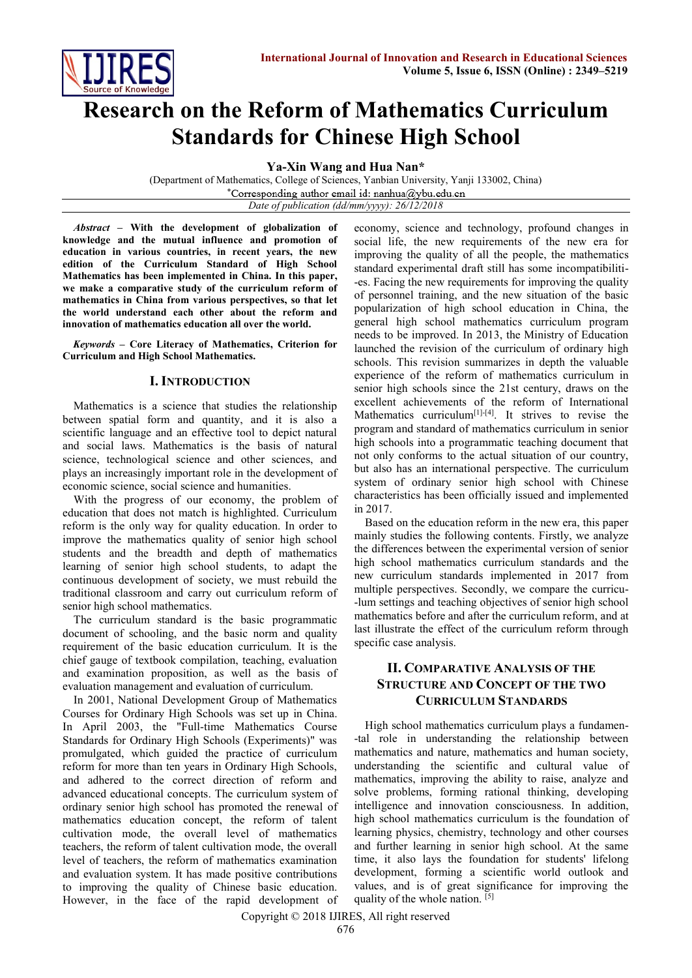

# **Research on the Reform of Mathematics Curriculum Standards for Chinese High School**

**Ya-Xin Wang and Hua Nan\***

(Department of Mathematics, College of Sciences, Yanbian University, Yanji 133002, China) \*Corresponding author email id: nanhua@ybu.edu.cn *Date of publication (dd/mm/yyyy): 26/12/2018*

*Abstract* **– With the development of globalization of knowledge and the mutual influence and promotion of education in various countries, in recent years, the new edition of the Curriculum Standard of High School Mathematics has been implemented in China. In this paper, we make a comparative study of the curriculum reform of mathematics in China from various perspectives, so that let the world understand each other about the reform and innovation of mathematics education all over the world.**

*Keywords* **– Core Literacy of Mathematics, Criterion for Curriculum and High School Mathematics.**

## **I. INTRODUCTION**

Mathematics is a science that studies the relationship between spatial form and quantity, and it is also a scientific language and an effective tool to depict natural and social laws. Mathematics is the basis of natural science, technological science and other sciences, and plays an increasingly important role in the development of economic science, social science and humanities.

With the progress of our economy, the problem of education that does not match is highlighted. Curriculum reform is the only way for quality education. In order to improve the mathematics quality of senior high school students and the breadth and depth of mathematics learning of senior high school students, to adapt the continuous development of society, we must rebuild the traditional classroom and carry out curriculum reform of senior high school mathematics.

The curriculum standard is the basic programmatic document of schooling, and the basic norm and quality requirement of the basic education curriculum. It is the chief gauge of textbook compilation, teaching, evaluation and examination proposition, as well as the basis of evaluation management and evaluation of curriculum.

In 2001, National Development Group of Mathematics Courses for Ordinary High Schools was set up in China. In April 2003, the "Full-time Mathematics Course Standards for Ordinary High Schools (Experiments)" was promulgated, which guided the practice of curriculum reform for more than ten years in Ordinary High Schools, and adhered to the correct direction of reform and advanced educational concepts. The curriculum system of ordinary senior high school has promoted the renewal of mathematics education concept, the reform of talent cultivation mode, the overall level of mathematics teachers, the reform of talent cultivation mode, the overall level of teachers, the reform of mathematics examination and evaluation system. It has made positive contributions to improving the quality of Chinese basic education. However, in the face of the rapid development of economy, science and technology, profound changes in social life, the new requirements of the new era for improving the quality of all the people, the mathematics standard experimental draft still has some incompatibiliti- -es. Facing the new requirements for improving the quality of personnel training, and the new situation of the basic popularization of high school education in China, the general high school mathematics curriculum program needs to be improved. In 2013, the Ministry of Education launched the revision of the curriculum of ordinary high schools. This revision summarizes in depth the valuable experience of the reform of mathematics curriculum in senior high schools since the 21st century, draws on the excellent achievements of the reform of International Mathematics curriculum<sup>[1]-[4]</sup>. It strives to revise the program and standard of mathematics curriculum in senior high schools into a programmatic teaching document that not only conforms to the actual situation of our country, but also has an international perspective. The curriculum system of ordinary senior high school with Chinese characteristics has been officially issued and implemented in 2017.

Based on the education reform in the new era, this paper mainly studies the following contents. Firstly, we analyze the differences between the experimental version of senior high school mathematics curriculum standards and the new curriculum standards implemented in 2017 from multiple perspectives. Secondly, we compare the curricu- -lum settings and teaching objectives of senior high school mathematics before and after the curriculum reform, and at last illustrate the effect of the curriculum reform through specific case analysis.

## **II. COMPARATIVE ANALYSIS OF THE STRUCTURE AND CONCEPT OF THE TWO CURRICULUM STANDARDS**

High school mathematics curriculum plays a fundamen- -tal role in understanding the relationship between mathematics and nature, mathematics and human society, understanding the scientific and cultural value of mathematics, improving the ability to raise, analyze and solve problems, forming rational thinking, developing intelligence and innovation consciousness. In addition, high school mathematics curriculum is the foundation of learning physics, chemistry, technology and other courses and further learning in senior high school. At the same time, it also lays the foundation for students' lifelong development, forming a scientific world outlook and values, and is of great significance for improving the quality of the whole nation. [5]

Copyright © 2018 IJIRES, All right reserved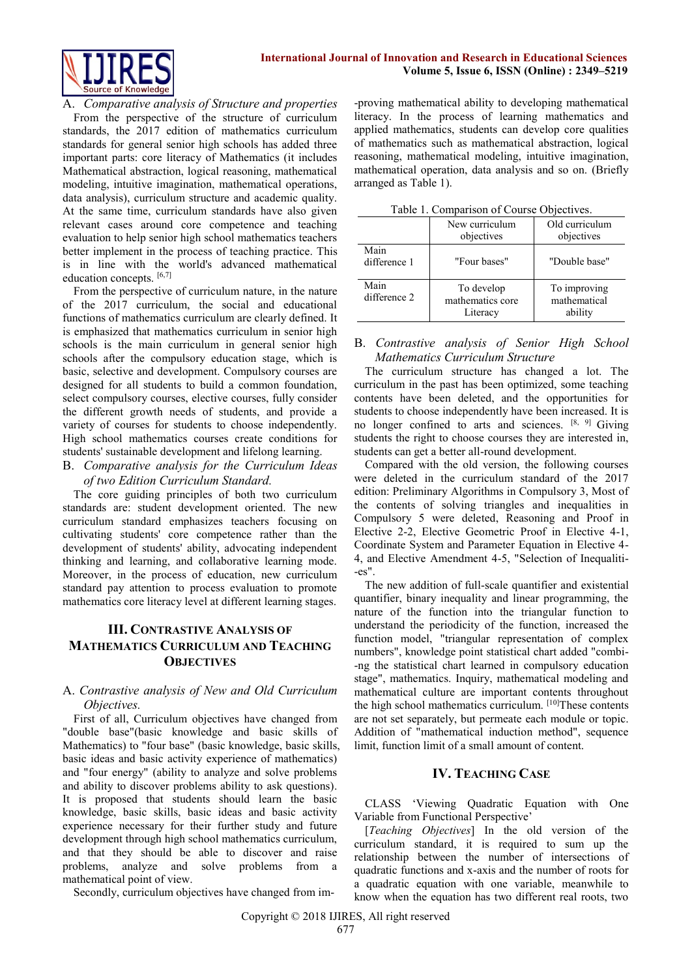

A. *Comparative analysis of Structure and properties* From the perspective of the structure of curriculum standards, the 2017 edition of mathematics curriculum standards for general senior high schools has added three important parts: core literacy of Mathematics (it includes Mathematical abstraction, logical reasoning, mathematical modeling, intuitive imagination, mathematical operations, data analysis), curriculum structure and academic quality. At the same time, curriculum standards have also given relevant cases around core competence and teaching evaluation to help senior high school mathematics teachers better implement in the process of teaching practice. This is in line with the world's advanced mathematical education concepts. [6,7]

From the perspective of curriculum nature, in the nature of the 2017 curriculum, the social and educational functions of mathematics curriculum are clearly defined. It is emphasized that mathematics curriculum in senior high schools is the main curriculum in general senior high schools after the compulsory education stage, which is basic, selective and development. Compulsory courses are designed for all students to build a common foundation, select compulsory courses, elective courses, fully consider the different growth needs of students, and provide a variety of courses for students to choose independently. High school mathematics courses create conditions for students' sustainable development and lifelong learning.

B. *Comparative analysis for the Curriculum Ideas of two Edition Curriculum Standard.* 

The core guiding principles of both two curriculum standards are: student development oriented. The new curriculum standard emphasizes teachers focusing on cultivating students' core competence rather than the development of students' ability, advocating independent thinking and learning, and collaborative learning mode. Moreover, in the process of education, new curriculum standard pay attention to process evaluation to promote mathematics core literacy level at different learning stages.

## **III. CONTRASTIVE ANALYSIS OF MATHEMATICS CURRICULUM AND TEACHING OBJECTIVES**

## A. *Contrastive analysis of New and Old Curriculum Objectives.*

First of all, Curriculum objectives have changed from "double base"(basic knowledge and basic skills of Mathematics) to "four base" (basic knowledge, basic skills, basic ideas and basic activity experience of mathematics) and "four energy" (ability to analyze and solve problems and ability to discover problems ability to ask questions). It is proposed that students should learn the basic knowledge, basic skills, basic ideas and basic activity experience necessary for their further study and future development through high school mathematics curriculum, and that they should be able to discover and raise problems, analyze and solve problems from a mathematical point of view.

Secondly, curriculum objectives have changed from im-

-proving mathematical ability to developing mathematical literacy. In the process of learning mathematics and applied mathematics, students can develop core qualities of mathematics such as mathematical abstraction, logical reasoning, mathematical modeling, intuitive imagination, mathematical operation, data analysis and so on. (Briefly arranged as Table 1).

| Table 1. Comparison of Course Objectives. |                                            |                                         |
|-------------------------------------------|--------------------------------------------|-----------------------------------------|
|                                           | New curriculum<br>objectives               | Old curriculum<br>objectives            |
| Main<br>difference 1                      | "Four bases"                               | "Double base"                           |
| Main<br>difference 2                      | To develop<br>mathematics core<br>Literacy | To improving<br>mathematical<br>ability |

## B. *Contrastive analysis of Senior High School Mathematics Curriculum Structure*

The curriculum structure has changed a lot. The curriculum in the past has been optimized, some teaching contents have been deleted, and the opportunities for students to choose independently have been increased. It is no longer confined to arts and sciences.  $[8, 9]$  Giving students the right to choose courses they are interested in, students can get a better all-round development.

Compared with the old version, the following courses were deleted in the curriculum standard of the 2017 edition: Preliminary Algorithms in Compulsory 3, Most of the contents of solving triangles and inequalities in Compulsory 5 were deleted, Reasoning and Proof in Elective 2-2, Elective Geometric Proof in Elective 4-1, Coordinate System and Parameter Equation in Elective 4- 4, and Elective Amendment 4-5, "Selection of Inequaliti- -es".

The new addition of full-scale quantifier and existential quantifier, binary inequality and linear programming, the nature of the function into the triangular function to understand the periodicity of the function, increased the function model, "triangular representation of complex numbers", knowledge point statistical chart added "combi- -ng the statistical chart learned in compulsory education stage", mathematics. Inquiry, mathematical modeling and mathematical culture are important contents throughout the high school mathematics curriculum. [10]These contents are not set separately, but permeate each module or topic. Addition of "mathematical induction method", sequence limit, function limit of a small amount of content.

## **IV. TEACHING CASE**

CLASS 'Viewing Quadratic Equation with One Variable from Functional Perspective'

[*Teaching Objectives*] In the old version of the curriculum standard, it is required to sum up the relationship between the number of intersections of quadratic functions and x-axis and the number of roots for a quadratic equation with one variable, meanwhile to know when the equation has two different real roots, two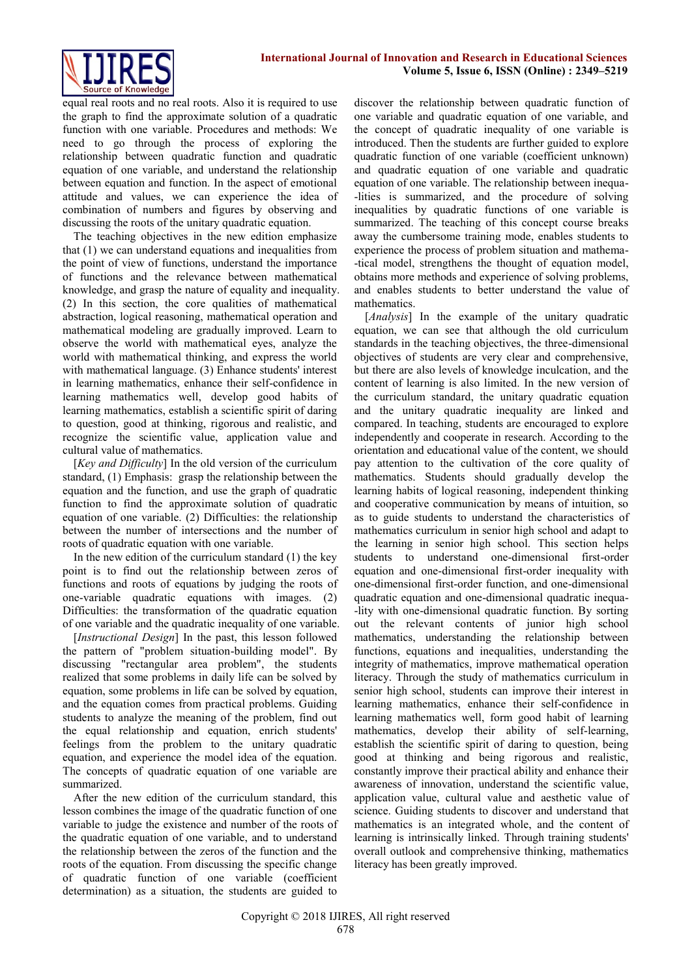

equal real roots and no real roots. Also it is required to use the graph to find the approximate solution of a quadratic function with one variable. Procedures and methods: We need to go through the process of exploring the relationship between quadratic function and quadratic equation of one variable, and understand the relationship between equation and function. In the aspect of emotional attitude and values, we can experience the idea of combination of numbers and figures by observing and discussing the roots of the unitary quadratic equation.

The teaching objectives in the new edition emphasize that (1) we can understand equations and inequalities from the point of view of functions, understand the importance of functions and the relevance between mathematical knowledge, and grasp the nature of equality and inequality. (2) In this section, the core qualities of mathematical abstraction, logical reasoning, mathematical operation and mathematical modeling are gradually improved. Learn to observe the world with mathematical eyes, analyze the world with mathematical thinking, and express the world with mathematical language. (3) Enhance students' interest in learning mathematics, enhance their self-confidence in learning mathematics well, develop good habits of learning mathematics, establish a scientific spirit of daring to question, good at thinking, rigorous and realistic, and recognize the scientific value, application value and cultural value of mathematics.

[*Key and Difficulty*] In the old version of the curriculum standard, (1) Emphasis: grasp the relationship between the equation and the function, and use the graph of quadratic function to find the approximate solution of quadratic equation of one variable. (2) Difficulties: the relationship between the number of intersections and the number of roots of quadratic equation with one variable.

In the new edition of the curriculum standard (1) the key point is to find out the relationship between zeros of functions and roots of equations by judging the roots of one-variable quadratic equations with images. (2) Difficulties: the transformation of the quadratic equation of one variable and the quadratic inequality of one variable.

[*Instructional Design*] In the past, this lesson followed the pattern of "problem situation-building model". By discussing "rectangular area problem", the students realized that some problems in daily life can be solved by equation, some problems in life can be solved by equation, and the equation comes from practical problems. Guiding students to analyze the meaning of the problem, find out the equal relationship and equation, enrich students' feelings from the problem to the unitary quadratic equation, and experience the model idea of the equation. The concepts of quadratic equation of one variable are summarized.

After the new edition of the curriculum standard, this lesson combines the image of the quadratic function of one variable to judge the existence and number of the roots of the quadratic equation of one variable, and to understand the relationship between the zeros of the function and the roots of the equation. From discussing the specific change of quadratic function of one variable (coefficient determination) as a situation, the students are guided to

discover the relationship between quadratic function of one variable and quadratic equation of one variable, and the concept of quadratic inequality of one variable is introduced. Then the students are further guided to explore quadratic function of one variable (coefficient unknown) and quadratic equation of one variable and quadratic equation of one variable. The relationship between inequa- -lities is summarized, and the procedure of solving inequalities by quadratic functions of one variable is summarized. The teaching of this concept course breaks away the cumbersome training mode, enables students to experience the process of problem situation and mathema- -tical model, strengthens the thought of equation model, obtains more methods and experience of solving problems, and enables students to better understand the value of mathematics.

[*Analysis*] In the example of the unitary quadratic equation, we can see that although the old curriculum standards in the teaching objectives, the three-dimensional objectives of students are very clear and comprehensive, but there are also levels of knowledge inculcation, and the content of learning is also limited. In the new version of the curriculum standard, the unitary quadratic equation and the unitary quadratic inequality are linked and compared. In teaching, students are encouraged to explore independently and cooperate in research. According to the orientation and educational value of the content, we should pay attention to the cultivation of the core quality of mathematics. Students should gradually develop the learning habits of logical reasoning, independent thinking and cooperative communication by means of intuition, so as to guide students to understand the characteristics of mathematics curriculum in senior high school and adapt to the learning in senior high school. This section helps students to understand one-dimensional first-order equation and one-dimensional first-order inequality with one-dimensional first-order function, and one-dimensional quadratic equation and one-dimensional quadratic inequa- -lity with one-dimensional quadratic function. By sorting out the relevant contents of junior high school mathematics, understanding the relationship between functions, equations and inequalities, understanding the integrity of mathematics, improve mathematical operation literacy. Through the study of mathematics curriculum in senior high school, students can improve their interest in learning mathematics, enhance their self-confidence in learning mathematics well, form good habit of learning mathematics, develop their ability of self-learning, establish the scientific spirit of daring to question, being good at thinking and being rigorous and realistic, constantly improve their practical ability and enhance their awareness of innovation, understand the scientific value, application value, cultural value and aesthetic value of science. Guiding students to discover and understand that mathematics is an integrated whole, and the content of learning is intrinsically linked. Through training students' overall outlook and comprehensive thinking, mathematics literacy has been greatly improved.